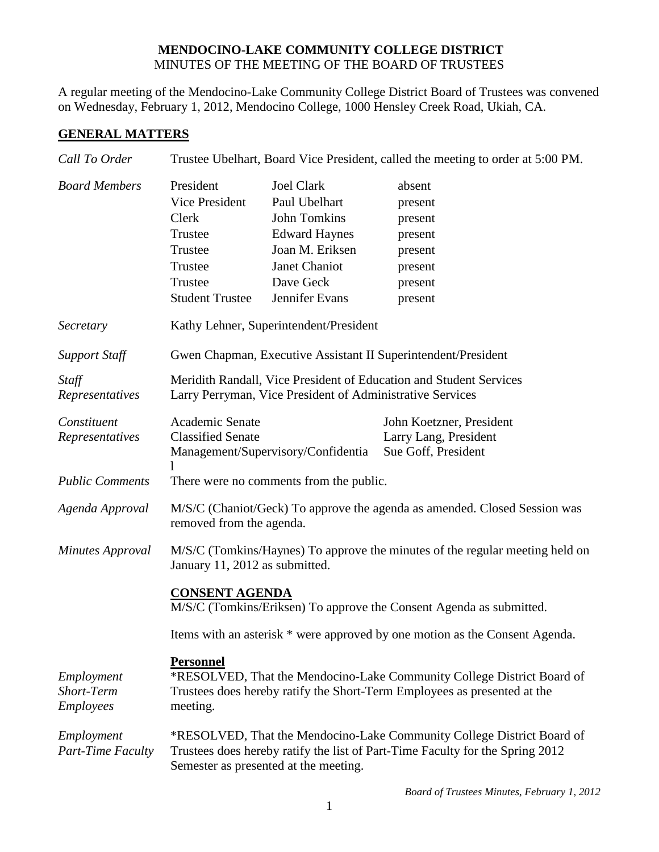## **MENDOCINO-LAKE COMMUNITY COLLEGE DISTRICT** MINUTES OF THE MEETING OF THE BOARD OF TRUSTEES

A regular meeting of the Mendocino-Lake Community College District Board of Trustees was convened on Wednesday, February 1, 2012, Mendocino College, 1000 Hensley Creek Road, Ukiah, CA.

## **GENERAL MATTERS**

| Call To Order                                | Trustee Ubelhart, Board Vice President, called the meeting to order at 5:00 PM.                                                                                                                  |                                                                                                                                                      |                                                                                     |  |
|----------------------------------------------|--------------------------------------------------------------------------------------------------------------------------------------------------------------------------------------------------|------------------------------------------------------------------------------------------------------------------------------------------------------|-------------------------------------------------------------------------------------|--|
| <b>Board Members</b>                         | President<br>Vice President<br>Clerk<br>Trustee<br>Trustee<br>Trustee<br>Trustee<br><b>Student Trustee</b>                                                                                       | <b>Joel Clark</b><br>Paul Ubelhart<br><b>John Tomkins</b><br><b>Edward Haynes</b><br>Joan M. Eriksen<br>Janet Chaniot<br>Dave Geck<br>Jennifer Evans | absent<br>present<br>present<br>present<br>present<br>present<br>present<br>present |  |
| Secretary                                    | Kathy Lehner, Superintendent/President                                                                                                                                                           |                                                                                                                                                      |                                                                                     |  |
| <b>Support Staff</b>                         | Gwen Chapman, Executive Assistant II Superintendent/President                                                                                                                                    |                                                                                                                                                      |                                                                                     |  |
| Staff<br>Representatives                     | Meridith Randall, Vice President of Education and Student Services<br>Larry Perryman, Vice President of Administrative Services                                                                  |                                                                                                                                                      |                                                                                     |  |
| Constituent<br>Representatives               | Academic Senate<br><b>Classified Senate</b>                                                                                                                                                      | Management/Supervisory/Confidentia                                                                                                                   | John Koetzner, President<br>Larry Lang, President<br>Sue Goff, President            |  |
| <b>Public Comments</b>                       | There were no comments from the public.                                                                                                                                                          |                                                                                                                                                      |                                                                                     |  |
| Agenda Approval                              | M/S/C (Chaniot/Geck) To approve the agenda as amended. Closed Session was<br>removed from the agenda.                                                                                            |                                                                                                                                                      |                                                                                     |  |
| <b>Minutes Approval</b>                      | M/S/C (Tomkins/Haynes) To approve the minutes of the regular meeting held on<br>January 11, 2012 as submitted.                                                                                   |                                                                                                                                                      |                                                                                     |  |
|                                              | <b>CONSENT AGENDA</b><br>M/S/C (Tomkins/Eriksen) To approve the Consent Agenda as submitted.                                                                                                     |                                                                                                                                                      |                                                                                     |  |
|                                              |                                                                                                                                                                                                  |                                                                                                                                                      | Items with an asterisk * were approved by one motion as the Consent Agenda.         |  |
| Employment<br><b>Short-Term</b><br>Employees | <b>Personnel</b><br>*RESOLVED, That the Mendocino-Lake Community College District Board of<br>Trustees does hereby ratify the Short-Term Employees as presented at the<br>meeting.               |                                                                                                                                                      |                                                                                     |  |
| Employment<br>Part-Time Faculty              | *RESOLVED, That the Mendocino-Lake Community College District Board of<br>Trustees does hereby ratify the list of Part-Time Faculty for the Spring 2012<br>Semester as presented at the meeting. |                                                                                                                                                      |                                                                                     |  |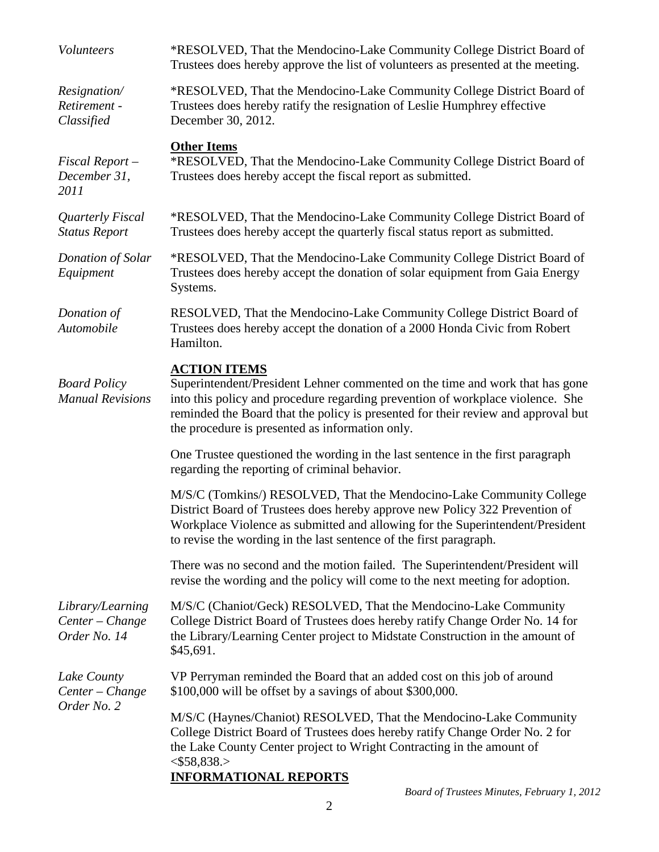| Volunteers                                          | *RESOLVED, That the Mendocino-Lake Community College District Board of<br>Trustees does hereby approve the list of volunteers as presented at the meeting.                                                                                                                                                                    |  |  |
|-----------------------------------------------------|-------------------------------------------------------------------------------------------------------------------------------------------------------------------------------------------------------------------------------------------------------------------------------------------------------------------------------|--|--|
| Resignation/<br>Retirement -<br>Classified          | *RESOLVED, That the Mendocino-Lake Community College District Board of<br>Trustees does hereby ratify the resignation of Leslie Humphrey effective<br>December 30, 2012.                                                                                                                                                      |  |  |
| Fiscal Report-<br>December 31,<br>2011              | <b>Other Items</b><br>*RESOLVED, That the Mendocino-Lake Community College District Board of<br>Trustees does hereby accept the fiscal report as submitted.                                                                                                                                                                   |  |  |
| Quarterly Fiscal<br><b>Status Report</b>            | *RESOLVED, That the Mendocino-Lake Community College District Board of<br>Trustees does hereby accept the quarterly fiscal status report as submitted.                                                                                                                                                                        |  |  |
| Donation of Solar<br>Equipment                      | *RESOLVED, That the Mendocino-Lake Community College District Board of<br>Trustees does hereby accept the donation of solar equipment from Gaia Energy<br>Systems.                                                                                                                                                            |  |  |
| Donation of<br>Automobile                           | RESOLVED, That the Mendocino-Lake Community College District Board of<br>Trustees does hereby accept the donation of a 2000 Honda Civic from Robert<br>Hamilton.                                                                                                                                                              |  |  |
| <b>Board Policy</b><br><b>Manual Revisions</b>      | <b>ACTION ITEMS</b><br>Superintendent/President Lehner commented on the time and work that has gone<br>into this policy and procedure regarding prevention of workplace violence. She<br>reminded the Board that the policy is presented for their review and approval but<br>the procedure is presented as information only. |  |  |
|                                                     | One Trustee questioned the wording in the last sentence in the first paragraph<br>regarding the reporting of criminal behavior.                                                                                                                                                                                               |  |  |
|                                                     | M/S/C (Tomkins/) RESOLVED, That the Mendocino-Lake Community College<br>District Board of Trustees does hereby approve new Policy 322 Prevention of<br>Workplace Violence as submitted and allowing for the Superintendent/President<br>to revise the wording in the last sentence of the first paragraph.                    |  |  |
|                                                     | There was no second and the motion failed. The Superintendent/President will<br>revise the wording and the policy will come to the next meeting for adoption.                                                                                                                                                                 |  |  |
| Library/Learning<br>Center - Change<br>Order No. 14 | M/S/C (Chaniot/Geck) RESOLVED, That the Mendocino-Lake Community<br>College District Board of Trustees does hereby ratify Change Order No. 14 for<br>the Library/Learning Center project to Midstate Construction in the amount of<br>\$45,691.                                                                               |  |  |
| Lake County<br>Center - Change<br>Order No. 2       | VP Perryman reminded the Board that an added cost on this job of around<br>\$100,000 will be offset by a savings of about \$300,000.                                                                                                                                                                                          |  |  |
|                                                     | M/S/C (Haynes/Chaniot) RESOLVED, That the Mendocino-Lake Community<br>College District Board of Trustees does hereby ratify Change Order No. 2 for<br>the Lake County Center project to Wright Contracting in the amount of<br>$<$ \$58,838.><br><b>INFORMATIONAL REPORTS</b>                                                 |  |  |